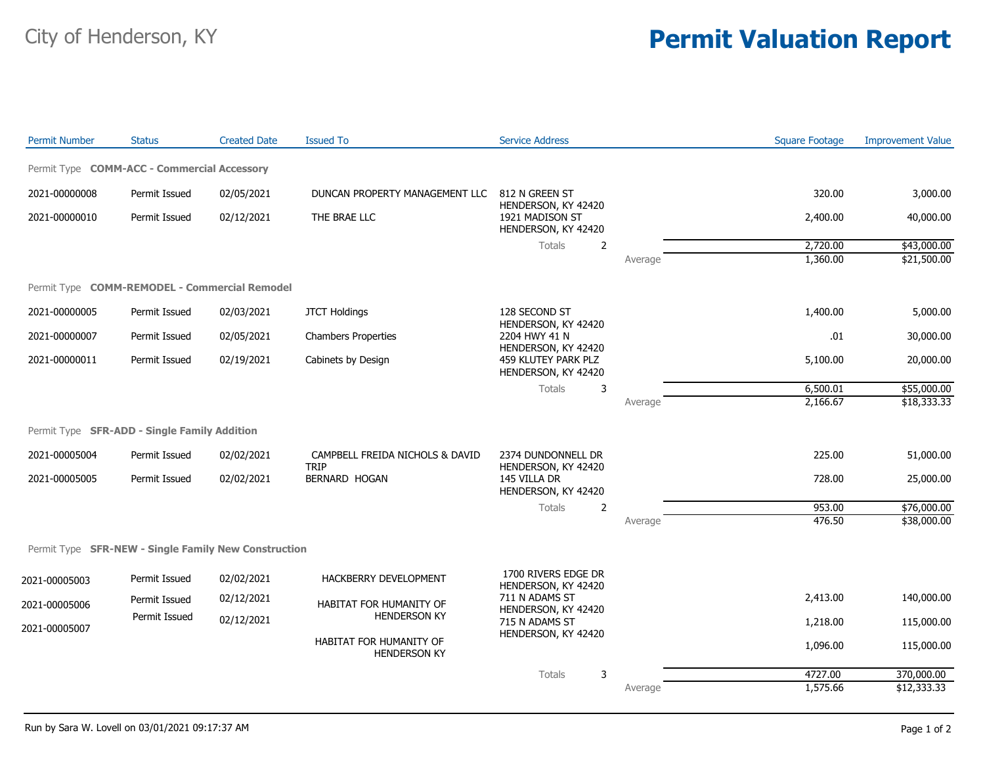## City of Henderson, KY **Permit Valuation Report**

| Permit Type COMM-ACC - Commercial Accessory<br>320.00<br>2021-00000008<br>Permit Issued<br>02/05/2021<br>DUNCAN PROPERTY MANAGEMENT LLC<br>812 N GREEN ST<br>3,000.00<br>HENDERSON, KY 42420<br>2021-00000010<br>Permit Issued<br>02/12/2021<br>THE BRAE LLC<br>1921 MADISON ST<br>2,400.00<br>40,000.00<br>HENDERSON, KY 42420<br>Totals<br>$\overline{2}$<br>2,720.00<br>\$43,000.00<br>1,360.00<br>\$21,500.00<br>Average<br>Permit Type COMM-REMODEL - Commercial Remodel<br>2021-00000005<br>Permit Issued<br>02/03/2021<br>128 SECOND ST<br>1,400.00<br>5,000.00<br><b>JTCT Holdings</b><br>HENDERSON, KY 42420<br>2204 HWY 41 N<br>.01<br>2021-00000007<br>Permit Issued<br>02/05/2021<br><b>Chambers Properties</b><br>30,000.00<br>HENDERSON, KY 42420<br>2021-00000011<br>459 KLUTEY PARK PLZ<br>5,100.00<br>Permit Issued<br>02/19/2021<br>Cabinets by Design<br>20,000.00<br>HENDERSON, KY 42420<br>6,500.01<br>\$55,000.00<br>Totals<br>3<br>2,166.67<br>\$18,333.33<br>Average<br>Permit Type SFR-ADD - Single Family Addition<br>225.00<br>2021-00005004<br>Permit Issued<br>02/02/2021<br>CAMPBELL FREIDA NICHOLS & DAVID<br>2374 DUNDONNELL DR<br>51,000.00<br><b>TRIP</b><br>HENDERSON, KY 42420<br><b>BERNARD HOGAN</b><br>2021-00005005<br>Permit Issued<br>02/02/2021<br>145 VILLA DR<br>728.00<br>25,000.00<br>HENDERSON, KY 42420<br>\$76,000.00<br>2<br>953.00<br>Totals<br>476.50<br>\$38,000.00<br>Average<br>Permit Type SFR-NEW - Single Family New Construction<br>1700 RIVERS EDGE DR<br>Permit Issued<br>02/02/2021<br>HACKBERRY DEVELOPMENT<br>2021-00005003<br>HENDERSON, KY 42420<br>711 N ADAMS ST<br>2,413.00<br>140,000.00<br>02/12/2021<br>Permit Issued<br>HABITAT FOR HUMANITY OF<br>2021-00005006<br>HENDERSON, KY 42420<br><b>HENDERSON KY</b><br>Permit Issued<br>02/12/2021<br>715 N ADAMS ST<br>115,000.00<br>1,218.00<br>2021-00005007<br>HENDERSON, KY 42420<br>HABITAT FOR HUMANITY OF<br>1,096.00<br>115,000.00<br><b>HENDERSON KY</b><br>4727.00<br>370,000.00<br>3<br>Totals<br>1,575.66<br>\$12,333.33<br>Average | <b>Permit Number</b> | <b>Status</b> | <b>Created Date</b> | <b>Issued To</b> | <b>Service Address</b> | <b>Square Footage</b> | <b>Improvement Value</b> |
|-----------------------------------------------------------------------------------------------------------------------------------------------------------------------------------------------------------------------------------------------------------------------------------------------------------------------------------------------------------------------------------------------------------------------------------------------------------------------------------------------------------------------------------------------------------------------------------------------------------------------------------------------------------------------------------------------------------------------------------------------------------------------------------------------------------------------------------------------------------------------------------------------------------------------------------------------------------------------------------------------------------------------------------------------------------------------------------------------------------------------------------------------------------------------------------------------------------------------------------------------------------------------------------------------------------------------------------------------------------------------------------------------------------------------------------------------------------------------------------------------------------------------------------------------------------------------------------------------------------------------------------------------------------------------------------------------------------------------------------------------------------------------------------------------------------------------------------------------------------------------------------------------------------------------------------------------------------------------------------------------------------------------------------------------------------------------|----------------------|---------------|---------------------|------------------|------------------------|-----------------------|--------------------------|
|                                                                                                                                                                                                                                                                                                                                                                                                                                                                                                                                                                                                                                                                                                                                                                                                                                                                                                                                                                                                                                                                                                                                                                                                                                                                                                                                                                                                                                                                                                                                                                                                                                                                                                                                                                                                                                                                                                                                                                                                                                                                       |                      |               |                     |                  |                        |                       |                          |
|                                                                                                                                                                                                                                                                                                                                                                                                                                                                                                                                                                                                                                                                                                                                                                                                                                                                                                                                                                                                                                                                                                                                                                                                                                                                                                                                                                                                                                                                                                                                                                                                                                                                                                                                                                                                                                                                                                                                                                                                                                                                       |                      |               |                     |                  |                        |                       |                          |
|                                                                                                                                                                                                                                                                                                                                                                                                                                                                                                                                                                                                                                                                                                                                                                                                                                                                                                                                                                                                                                                                                                                                                                                                                                                                                                                                                                                                                                                                                                                                                                                                                                                                                                                                                                                                                                                                                                                                                                                                                                                                       |                      |               |                     |                  |                        |                       |                          |
|                                                                                                                                                                                                                                                                                                                                                                                                                                                                                                                                                                                                                                                                                                                                                                                                                                                                                                                                                                                                                                                                                                                                                                                                                                                                                                                                                                                                                                                                                                                                                                                                                                                                                                                                                                                                                                                                                                                                                                                                                                                                       |                      |               |                     |                  |                        |                       |                          |
|                                                                                                                                                                                                                                                                                                                                                                                                                                                                                                                                                                                                                                                                                                                                                                                                                                                                                                                                                                                                                                                                                                                                                                                                                                                                                                                                                                                                                                                                                                                                                                                                                                                                                                                                                                                                                                                                                                                                                                                                                                                                       |                      |               |                     |                  |                        |                       |                          |
|                                                                                                                                                                                                                                                                                                                                                                                                                                                                                                                                                                                                                                                                                                                                                                                                                                                                                                                                                                                                                                                                                                                                                                                                                                                                                                                                                                                                                                                                                                                                                                                                                                                                                                                                                                                                                                                                                                                                                                                                                                                                       |                      |               |                     |                  |                        |                       |                          |
|                                                                                                                                                                                                                                                                                                                                                                                                                                                                                                                                                                                                                                                                                                                                                                                                                                                                                                                                                                                                                                                                                                                                                                                                                                                                                                                                                                                                                                                                                                                                                                                                                                                                                                                                                                                                                                                                                                                                                                                                                                                                       |                      |               |                     |                  |                        |                       |                          |
|                                                                                                                                                                                                                                                                                                                                                                                                                                                                                                                                                                                                                                                                                                                                                                                                                                                                                                                                                                                                                                                                                                                                                                                                                                                                                                                                                                                                                                                                                                                                                                                                                                                                                                                                                                                                                                                                                                                                                                                                                                                                       |                      |               |                     |                  |                        |                       |                          |
|                                                                                                                                                                                                                                                                                                                                                                                                                                                                                                                                                                                                                                                                                                                                                                                                                                                                                                                                                                                                                                                                                                                                                                                                                                                                                                                                                                                                                                                                                                                                                                                                                                                                                                                                                                                                                                                                                                                                                                                                                                                                       |                      |               |                     |                  |                        |                       |                          |
|                                                                                                                                                                                                                                                                                                                                                                                                                                                                                                                                                                                                                                                                                                                                                                                                                                                                                                                                                                                                                                                                                                                                                                                                                                                                                                                                                                                                                                                                                                                                                                                                                                                                                                                                                                                                                                                                                                                                                                                                                                                                       |                      |               |                     |                  |                        |                       |                          |
|                                                                                                                                                                                                                                                                                                                                                                                                                                                                                                                                                                                                                                                                                                                                                                                                                                                                                                                                                                                                                                                                                                                                                                                                                                                                                                                                                                                                                                                                                                                                                                                                                                                                                                                                                                                                                                                                                                                                                                                                                                                                       |                      |               |                     |                  |                        |                       |                          |
|                                                                                                                                                                                                                                                                                                                                                                                                                                                                                                                                                                                                                                                                                                                                                                                                                                                                                                                                                                                                                                                                                                                                                                                                                                                                                                                                                                                                                                                                                                                                                                                                                                                                                                                                                                                                                                                                                                                                                                                                                                                                       |                      |               |                     |                  |                        |                       |                          |
|                                                                                                                                                                                                                                                                                                                                                                                                                                                                                                                                                                                                                                                                                                                                                                                                                                                                                                                                                                                                                                                                                                                                                                                                                                                                                                                                                                                                                                                                                                                                                                                                                                                                                                                                                                                                                                                                                                                                                                                                                                                                       |                      |               |                     |                  |                        |                       |                          |
|                                                                                                                                                                                                                                                                                                                                                                                                                                                                                                                                                                                                                                                                                                                                                                                                                                                                                                                                                                                                                                                                                                                                                                                                                                                                                                                                                                                                                                                                                                                                                                                                                                                                                                                                                                                                                                                                                                                                                                                                                                                                       |                      |               |                     |                  |                        |                       |                          |
|                                                                                                                                                                                                                                                                                                                                                                                                                                                                                                                                                                                                                                                                                                                                                                                                                                                                                                                                                                                                                                                                                                                                                                                                                                                                                                                                                                                                                                                                                                                                                                                                                                                                                                                                                                                                                                                                                                                                                                                                                                                                       |                      |               |                     |                  |                        |                       |                          |
|                                                                                                                                                                                                                                                                                                                                                                                                                                                                                                                                                                                                                                                                                                                                                                                                                                                                                                                                                                                                                                                                                                                                                                                                                                                                                                                                                                                                                                                                                                                                                                                                                                                                                                                                                                                                                                                                                                                                                                                                                                                                       |                      |               |                     |                  |                        |                       |                          |
|                                                                                                                                                                                                                                                                                                                                                                                                                                                                                                                                                                                                                                                                                                                                                                                                                                                                                                                                                                                                                                                                                                                                                                                                                                                                                                                                                                                                                                                                                                                                                                                                                                                                                                                                                                                                                                                                                                                                                                                                                                                                       |                      |               |                     |                  |                        |                       |                          |
|                                                                                                                                                                                                                                                                                                                                                                                                                                                                                                                                                                                                                                                                                                                                                                                                                                                                                                                                                                                                                                                                                                                                                                                                                                                                                                                                                                                                                                                                                                                                                                                                                                                                                                                                                                                                                                                                                                                                                                                                                                                                       |                      |               |                     |                  |                        |                       |                          |
|                                                                                                                                                                                                                                                                                                                                                                                                                                                                                                                                                                                                                                                                                                                                                                                                                                                                                                                                                                                                                                                                                                                                                                                                                                                                                                                                                                                                                                                                                                                                                                                                                                                                                                                                                                                                                                                                                                                                                                                                                                                                       |                      |               |                     |                  |                        |                       |                          |
|                                                                                                                                                                                                                                                                                                                                                                                                                                                                                                                                                                                                                                                                                                                                                                                                                                                                                                                                                                                                                                                                                                                                                                                                                                                                                                                                                                                                                                                                                                                                                                                                                                                                                                                                                                                                                                                                                                                                                                                                                                                                       |                      |               |                     |                  |                        |                       |                          |
|                                                                                                                                                                                                                                                                                                                                                                                                                                                                                                                                                                                                                                                                                                                                                                                                                                                                                                                                                                                                                                                                                                                                                                                                                                                                                                                                                                                                                                                                                                                                                                                                                                                                                                                                                                                                                                                                                                                                                                                                                                                                       |                      |               |                     |                  |                        |                       |                          |
|                                                                                                                                                                                                                                                                                                                                                                                                                                                                                                                                                                                                                                                                                                                                                                                                                                                                                                                                                                                                                                                                                                                                                                                                                                                                                                                                                                                                                                                                                                                                                                                                                                                                                                                                                                                                                                                                                                                                                                                                                                                                       |                      |               |                     |                  |                        |                       |                          |
|                                                                                                                                                                                                                                                                                                                                                                                                                                                                                                                                                                                                                                                                                                                                                                                                                                                                                                                                                                                                                                                                                                                                                                                                                                                                                                                                                                                                                                                                                                                                                                                                                                                                                                                                                                                                                                                                                                                                                                                                                                                                       |                      |               |                     |                  |                        |                       |                          |